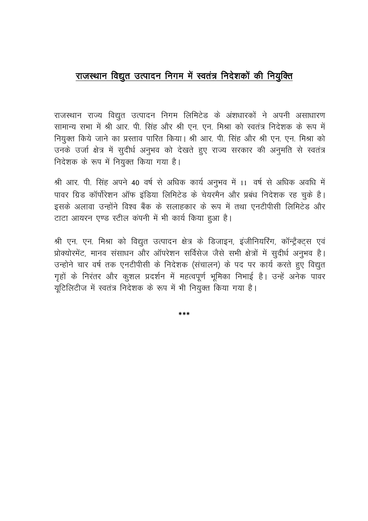## राजस्थान विद्युत उत्पादन निगम में स्वतंत्र निदेशकों की नियुक्ति

राजस्थान राज्य विद्युत उत्पादन निगम लिमिटेड के अंशधारकों ने अपनी असाधारण सामान्य सभा में श्री आर. पी. सिंह और श्री एन. एन. मिश्रा को स्वतंत्र निदेशक के रूप में नियुक्त किये जाने का प्रस्ताव पारित किया। श्री आर. पी. सिंह और श्री एन. एन. मिश्रा को उनके उर्जा क्षेत्र में सूदीर्ध अनुभव को देखते हुए राज्य सरकार की अनुमति से स्वतंत्र निदेशक के रूप में नियुक्त किया गया है।

श्री आर. पी. सिंह अपने 40 वर्ष से अधिक कार्य अनुभव में 11 वर्ष से अधिक अवधि में पावर ग्रिड कॉर्पोरेशन ऑफ इंडिया लिमिटेड के चेयरमैन और प्रबंध निदेशक रह चुके है। इसके अलावा उन्होंने विश्व बैंक के सलाहकार के रूप में तथा एनटीपीसी लिमिटेड और टाटा आयरन एण्ड स्टील कंपनी में भी कार्य किया हुआ है।

श्री एन. एन. मिश्रा को विद्युत उत्पादन क्षेत्र के डिजाइन, इंजीनियरिंग, कॉन्ट्रैक्ट्स एवं प्रोक्योरमेंट, मानव संसाधन और ऑपरेशन सर्विसेज जैसे सभी क्षेत्रों में सूदीर्ध अनुभव है। उन्होने चार वर्ष तक एनटीपीसी के निदेशक (संचालन) के पद पर कार्य करते हुए विद्युत गृहों के निरंतर और कुशल प्रदर्शन में महत्वपूर्ण भूमिका निभाई है। उन्हें अनेक पावर यूटिलिटीज में स्वतंत्र निदेशक के रूप में भी नियुक्त किया गया है।

 $* * *$